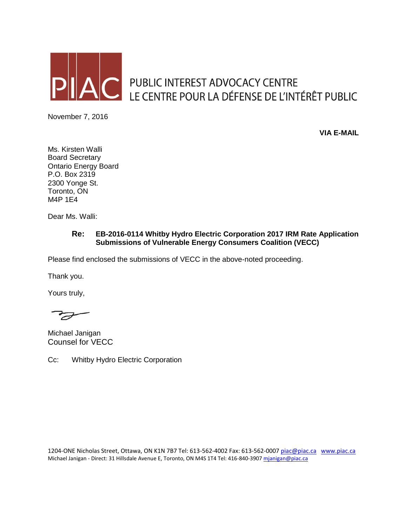

PUBLIC INTEREST ADVOCACY CENTRE LE CENTRE POUR LA DÉFENSE DE L'INTÉRÊT PUBLIC

November 7, 2016

**VIA E-MAIL**

Ms. Kirsten Walli Board Secretary Ontario Energy Board P.O. Box 2319 2300 Yonge St. Toronto, ON M4P 1E4

Dear Ms. Walli:

## **Re: EB-2016-0114 Whitby Hydro Electric Corporation 2017 IRM Rate Application Submissions of Vulnerable Energy Consumers Coalition (VECC)**

Please find enclosed the submissions of VECC in the above-noted proceeding.

Thank you.

Yours truly,

 $\overline{\mathscr{Q}}$ 

Michael Janigan Counsel for VECC

Cc: Whitby Hydro Electric Corporation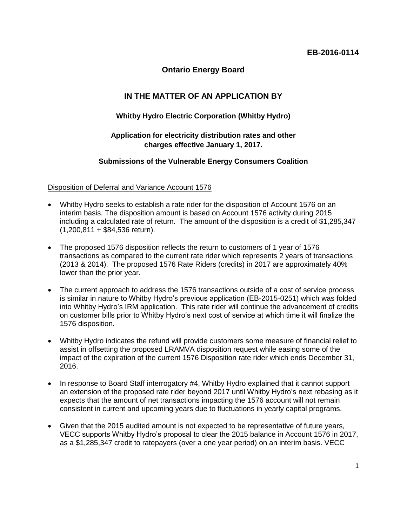**Ontario Energy Board**

# **IN THE MATTER OF AN APPLICATION BY**

## **Whitby Hydro Electric Corporation (Whitby Hydro)**

## **Application for electricity distribution rates and other charges effective January 1, 2017.**

### **Submissions of the Vulnerable Energy Consumers Coalition**

#### Disposition of Deferral and Variance Account 1576

- Whitby Hydro seeks to establish a rate rider for the disposition of Account 1576 on an interim basis. The disposition amount is based on Account 1576 activity during 2015 including a calculated rate of return. The amount of the disposition is a credit of \$1,285,347 (1,200,811 + \$84,536 return).
- The proposed 1576 disposition reflects the return to customers of 1 year of 1576 transactions as compared to the current rate rider which represents 2 years of transactions (2013 & 2014). The proposed 1576 Rate Riders (credits) in 2017 are approximately 40% lower than the prior year.
- The current approach to address the 1576 transactions outside of a cost of service process is similar in nature to Whitby Hydro's previous application (EB-2015-0251) which was folded into Whitby Hydro's IRM application. This rate rider will continue the advancement of credits on customer bills prior to Whitby Hydro's next cost of service at which time it will finalize the 1576 disposition.
- Whitby Hydro indicates the refund will provide customers some measure of financial relief to assist in offsetting the proposed LRAMVA disposition request while easing some of the impact of the expiration of the current 1576 Disposition rate rider which ends December 31, 2016.
- In response to Board Staff interrogatory #4, Whitby Hydro explained that it cannot support an extension of the proposed rate rider beyond 2017 until Whitby Hydro's next rebasing as it expects that the amount of net transactions impacting the 1576 account will not remain consistent in current and upcoming years due to fluctuations in yearly capital programs.
- Given that the 2015 audited amount is not expected to be representative of future years, VECC supports Whitby Hydro's proposal to clear the 2015 balance in Account 1576 in 2017, as a \$1,285,347 credit to ratepayers (over a one year period) on an interim basis. VECC